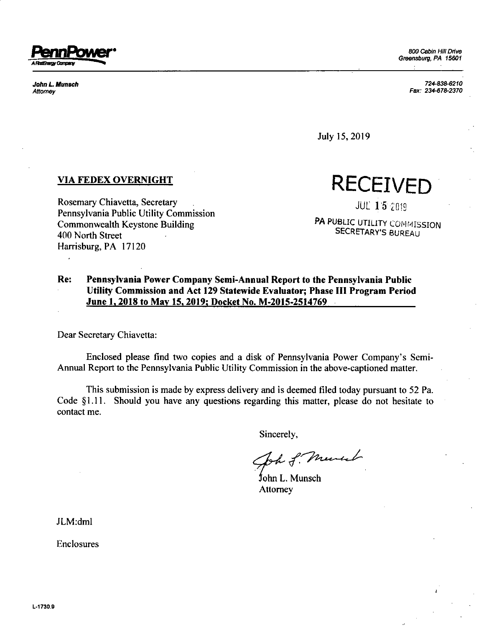

*John L. Munsch 724-838-6210 Attorney Fax.' 234-678-2370*

*\**

July 15, 2019

## **VIA FEDEX OVERNIGHT**

Rosemary Chiavetta, Secretary Pennsylvania Public Utility Commission Commonwealth Keystone Building 400 North Street Harrisburg, PA 17120

**received « IS** <sup>101</sup>**!**

PA PUBLIC UTILITY COMMISSION SECRETARY'S BUREAU

## **Re: Pennsylvania Power Company Semi-Annual Report to the Pennsylvania Public Utility Commission and Act 129 Statewide Evaluator; Phase III Program Period June 1.2018 to May 15.2019: Docket No. M-2015-2514769**

Dear Secretary Chiavetta:

Enclosed please find two copies and a disk of Pennsylvania Power Company's Semi-Annual Report to the Pennsylvania Public Utility Commission in the above-captioned matter.

This submission is made by express delivery and is deemed filed today pursuant to 52 Pa. Code §1.11. Should you have any questions regarding this matter, please do not hesitate to contact me.

Sincerely,

the S. Murried

John L. Munsch Attorney

JLM:dml

Enclosures